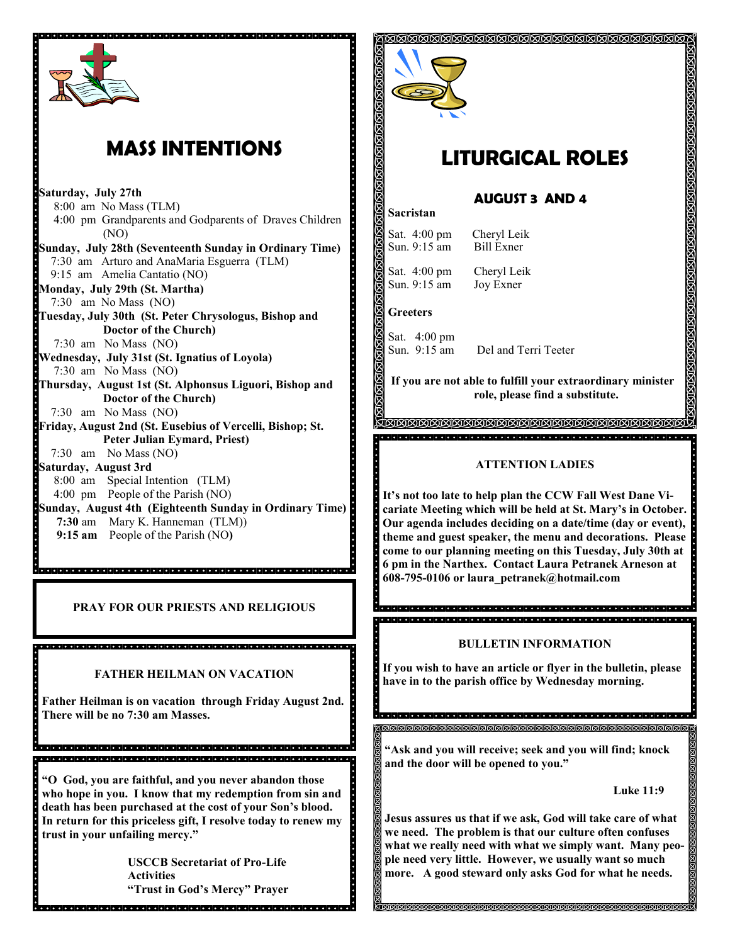

# **MASS INTENTIONS**

**Saturday, July 27th<br>Barrier S**:00 am No Mass 8:00 am No Mass (TLM) 4:00 pm Grandparents and Godparents of Draves Children (NO) **Sunday, July 28th (Seventeenth Sunday in Ordinary Time)** 7:30 am Arturo and AnaMaria Esguerra (TLM) 9:15 am Amelia Cantatio (NO) **Monday, July 29th (St. Martha)** 7:30 am No Mass (NO) **Tuesday, July 30th (St. Peter Chrysologus, Bishop and Doctor of the Church)** 7:30 am No Mass (NO) **Wednesday, July 31st (St. Ignatius of Loyola)** 7:30 am No Mass (NO) **Thursday, August 1st (St. Alphonsus Liguori, Bishop and Doctor of the Church)** 7:30 am No Mass (NO) **Friday, August 2nd (St. Eusebius of Vercelli, Bishop; St. Peter Julian Eymard, Priest)** 7:30 am No Mass (NO) **Saturday, August 3rd**  8:00 am Special Intention (TLM) 4:00 pm People of the Parish (NO) **Sunday, August 4th (Eighteenth Sunday in Ordinary Time) 7:30** am Mary K. Hanneman (TLM)) **9:15 am** People of the Parish (NO**)**

**PRAY FOR OUR PRIESTS AND RELIGIOUS**

e<br>Sacado de cado de deciderado do pode de deciderado de deciderado de de de d

### **FATHER HEILMAN ON VACATION**

da qarqa qarqa qarqa qarqa qarqa qarqa qarqa qarqa qarqa qarqa qarqa qarqa qarqa qarqa

**Father Heilman is on vacation through Friday August 2nd. There will be no 7:30 am Masses.**

,<br>Islandi di dia dia dia dia kaominina mpikambana amin'ny kaominina dia kaominina mpikambana amin'ny f 

**"O God, you are faithful, and you never abandon those who hope in you. I know that my redemption from sin and death has been purchased at the cost of your Son's blood. In return for this priceless gift, I resolve today to renew my trust in your unfailing mercy."**

**USCCB Secretariat of Pro-Life Activities "Trust in God's Mercy" Prayer**



# **LITURGICAL ROLES**

**AUGUST 3 AND 4**

## **Sacristan**

Sat. 4:00 pm Cheryl Leik Sun. 9:15 am Bill Exner

Sat. 4:00 pm Cheryl Leik Sun. 9:15 am Joy Exner

**Greeters**

. . . . . . . . . . . . . . .

Sat. 4:00 pm Sun. 9:15 am Del and Terri Teeter

**If you are not able to fulfill your extraordinary minister role, please find a substitute.** 

#### **ATTENTION LADIES**

**It's not too late to help plan the CCW Fall West Dane Vicariate Meeting which will be held at St. Mary's in October. Our agenda includes deciding on a date/time (day or event), theme and guest speaker, the menu and decorations. Please come to our planning meeting on this Tuesday, July 30th at 6 pm in the Narthex. Contact Laura Petranek Arneson at 608-795-0106 or laura\_petranek@hotmail.com**

### **BULLETIN INFORMATION**

<u>राज्ञ राज्ञ राज्ञ राज्ञ राज्ञ राज्ञ राज्ञ राज्ञ राज्ञ राज्ञ राज्ञ राज्ञ राज्ञ राज्ञ राज्ञ राज्ञ राज्ञ राज्ञ राज</u>

**If you wish to have an article or flyer in the bulletin, please have in to the parish office by Wednesday morning.**

।<br>। ଗାଗାଗାଗାଗାଗାଗାଗାଗାଗାଗାଗା **"Ask and you will receive; seek and you will find; knock** 

- **and the door will be opened to you."**
	- **Luke 11:9**

**Jesus assures us that if we ask, God will take care of what we need. The problem is that our culture often confuses what we really need with what we simply want. Many people need very little. However, we usually want so much more. A good steward only asks God for what he needs.**